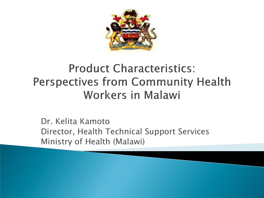

#### **Product Characteristics: Perspectives from Community Health Workers in Malawi**

Dr. Kelita Kamoto Director, Health Technical Support Services Ministry of Health (Malawi)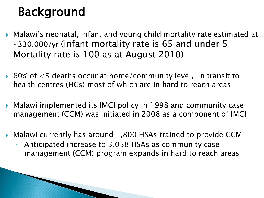# Background

- Malawi"s neonatal, infant and young child mortality rate estimated at ~330,000/yr (infant mortality rate is 65 and under 5 Mortality rate is 100 as at August 2010)
- $\triangleright$  60% of  $\lt5$  deaths occur at home/community level, in transit to health centres (HCs) most of which are in hard to reach areas
- Malawi implemented its IMCI policy in 1998 and community case management (CCM) was initiated in 2008 as a component of IMCI
- Malawi currently has around 1,800 HSAs trained to provide CCM
	- Anticipated increase to 3,058 HSAs as community case management (CCM) program expands in hard to reach areas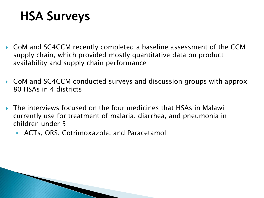#### HSA Surveys

- GoM and SC4CCM recently completed a baseline assessment of the CCM supply chain, which provided mostly quantitative data on product availability and supply chain performance
- GoM and SC4CCM conducted surveys and discussion groups with approx 80 HSAs in 4 districts
- The interviews focused on the four medicines that HSAs in Malawi currently use for treatment of malaria, diarrhea, and pneumonia in children under 5:
	- ACTs, ORS, Cotrimoxazole, and Paracetamol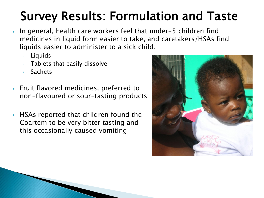# Survey Results: Formulation and Taste

- ▶ In general, health care workers feel that under-5 children find medicines in liquid form easier to take, and caretakers/HSAs find liquids easier to administer to a sick child:
	- Liquids
	- Tablets that easily dissolve
	- Sachets
- ▶ Fruit flavored medicines, preferred to non-flavoured or sour-tasting products
- ▶ HSAs reported that children found the Coartem to be very bitter tasting and this occasionally caused vomiting

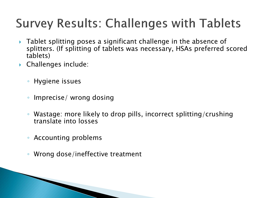# **Survey Results: Challenges with Tablets**

- ▶ Tablet splitting poses a significant challenge in the absence of splitters. (If splitting of tablets was necessary, HSAs preferred scored tablets)
- Challenges include:
	- Hygiene issues
	- Imprecise/ wrong dosing
	- Wastage: more likely to drop pills, incorrect splitting/crushing translate into losses
	- Accounting problems
	- Wrong dose/ineffective treatment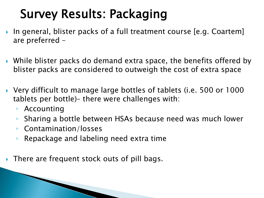# Survey Results: Packaging

- In general, blister packs of a full treatment course [e.g. Coartem] are preferred –
- While blister packs do demand extra space, the benefits offered by blister packs are considered to outweigh the cost of extra space
- Very difficult to manage large bottles of tablets (i.e. 500 or 1000 tablets per bottle)– there were challenges with:
	- Accounting
	- Sharing a bottle between HSAs because need was much lower
	- Contamination/losses

**The Communication of the Communication** 

- Repackage and labeling need extra time
- ▶ There are frequent stock outs of pill bags.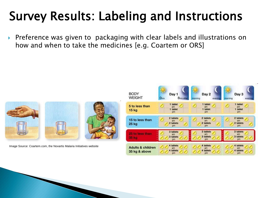### Survey Results: Labeling and Instructions

▶ Preference was given to packaging with clear labels and illustrations on how and when to take the medicines [e.g. Coartem or ORS]

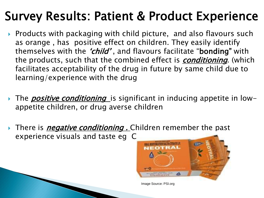### Survey Results: Patient & Product Experience

- ▶ Products with packaging with child picture, and also flavours such as orange , has positive effect on children. They easily identify themselves with the *'child'*, and flavours facilitate "**bonding**" with the products, such that the combined effect is *conditioning*. (which facilitates acceptability of the drug in future by same child due to learning/experience with the drug
- The *positive conditioning* is significant in inducing appetite in lowappetite children, or drug averse children
- There is *negative conditioning .* Children remember the past experience visuals and taste eg C



Image Source: PSI.org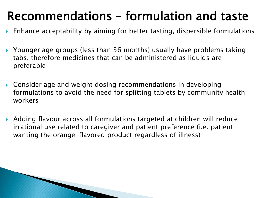### Recommendations – formulation and taste

- Enhance acceptability by aiming for better tasting, dispersible formulations
- ▶ Younger age groups (less than 36 months) usually have problems taking tabs, therefore medicines that can be administered as liquids are preferable
- Consider age and weight dosing recommendations in developing formulations to avoid the need for splitting tablets by community health workers
- Adding flavour across all formulations targeted at children will reduce irrational use related to caregiver and patient preference (i.e. patient wanting the orange-flavored product regardless of illness)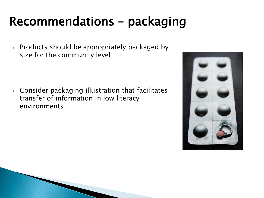#### Recommendations – packaging

 $\triangleright$  Products should be appropriately packaged by size for the community level

 Consider packaging illustration that facilitates transfer of information in low literacy environments